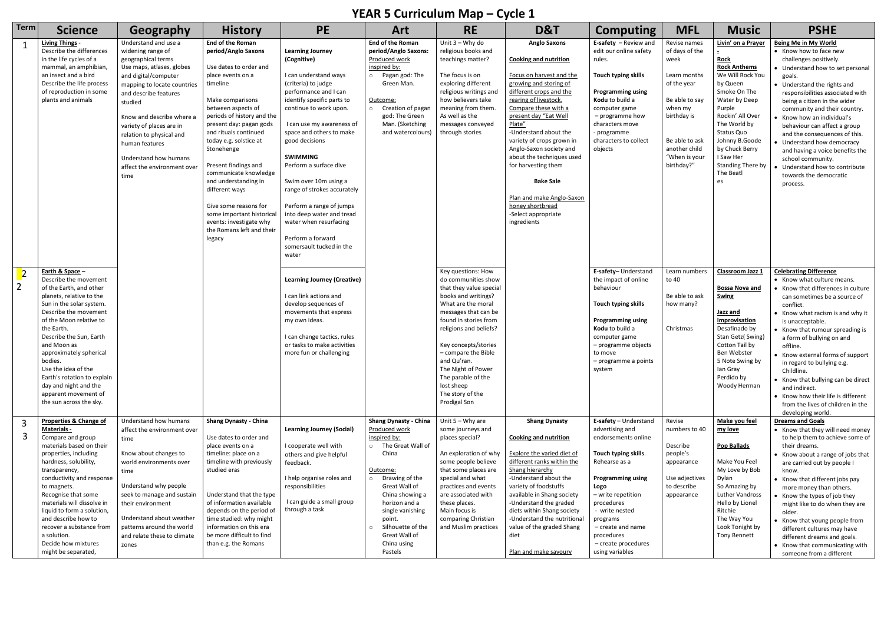## **YEAR 5 Curriculum Map – Cycle 1**

|                |                                                                                                                                                                                                                                                                                                                                                                                                                 |                                                                                                                                                                                                                                                                                                                                                                |                                                                                                                                                                                                                                                                                                                                                                                                                                                                                                  |                                                                                                                                                                                                                                                                                                                                                                                                                                                                                                      |                                                                                                                                                                                                                                                                                                      |                                                                                                                                                                                                                                                                                                                                                          | -,                                                                                                                                                                                                                                                                                                                                                                                                                                                                       |                                                                                                                                                                                                                                                                                             |                                                                                                                                                                                     |                                                                                                                                                                                                                                                                                       |                                                                                                                                                                                                                                                                                                                                                                                                                                                                                                                       |
|----------------|-----------------------------------------------------------------------------------------------------------------------------------------------------------------------------------------------------------------------------------------------------------------------------------------------------------------------------------------------------------------------------------------------------------------|----------------------------------------------------------------------------------------------------------------------------------------------------------------------------------------------------------------------------------------------------------------------------------------------------------------------------------------------------------------|--------------------------------------------------------------------------------------------------------------------------------------------------------------------------------------------------------------------------------------------------------------------------------------------------------------------------------------------------------------------------------------------------------------------------------------------------------------------------------------------------|------------------------------------------------------------------------------------------------------------------------------------------------------------------------------------------------------------------------------------------------------------------------------------------------------------------------------------------------------------------------------------------------------------------------------------------------------------------------------------------------------|------------------------------------------------------------------------------------------------------------------------------------------------------------------------------------------------------------------------------------------------------------------------------------------------------|----------------------------------------------------------------------------------------------------------------------------------------------------------------------------------------------------------------------------------------------------------------------------------------------------------------------------------------------------------|--------------------------------------------------------------------------------------------------------------------------------------------------------------------------------------------------------------------------------------------------------------------------------------------------------------------------------------------------------------------------------------------------------------------------------------------------------------------------|---------------------------------------------------------------------------------------------------------------------------------------------------------------------------------------------------------------------------------------------------------------------------------------------|-------------------------------------------------------------------------------------------------------------------------------------------------------------------------------------|---------------------------------------------------------------------------------------------------------------------------------------------------------------------------------------------------------------------------------------------------------------------------------------|-----------------------------------------------------------------------------------------------------------------------------------------------------------------------------------------------------------------------------------------------------------------------------------------------------------------------------------------------------------------------------------------------------------------------------------------------------------------------------------------------------------------------|
| <b>Term</b>    | <b>Science</b>                                                                                                                                                                                                                                                                                                                                                                                                  | Geography                                                                                                                                                                                                                                                                                                                                                      | <b>History</b>                                                                                                                                                                                                                                                                                                                                                                                                                                                                                   | <b>PE</b>                                                                                                                                                                                                                                                                                                                                                                                                                                                                                            | Art                                                                                                                                                                                                                                                                                                  | <b>RE</b>                                                                                                                                                                                                                                                                                                                                                | D&T                                                                                                                                                                                                                                                                                                                                                                                                                                                                      | <b>Computing</b>                                                                                                                                                                                                                                                                            | <b>MFL</b>                                                                                                                                                                          | <b>Music</b>                                                                                                                                                                                                                                                                          | <b>PSHE</b>                                                                                                                                                                                                                                                                                                                                                                                                                                                                                                           |
|                | <b>Living Things -</b><br>Describe the differences<br>in the life cycles of a<br>mammal, an amphibian<br>an insect and a bird<br>Describe the life process<br>of reproduction in some<br>plants and animals                                                                                                                                                                                                     | Understand and use a<br>widening range of<br>geographical terms<br>Use maps, atlases, globes<br>and digital/computer<br>mapping to locate countries<br>and describe features<br>studied<br>Know and describe where a<br>variety of places are in<br>relation to physical and<br>human features<br>Understand how humans<br>affect the environment over<br>time | <b>End of the Roman</b><br>period/Anglo Saxons<br>Use dates to order and<br>place events on a<br>timeline<br>Make comparisons<br>between aspects of<br>periods of history and the<br>present day: pagan gods<br>and rituals continued<br>today e.g. solstice at<br>Stonehenge<br>Present findings and<br>communicate knowledge<br>and understanding in<br>different ways<br>Give some reasons for<br>some important historical<br>events: investigate why<br>the Romans left and their<br>legacy | <b>Learning Journey</b><br>(Cognitive)<br>I can understand ways<br>(criteria) to judge<br>performance and I can<br>identify specific parts to<br>continue to work upon.<br>I can use my awareness of<br>space and others to make<br>good decisions<br><b>SWIMMING</b><br>Perform a surface dive<br>Swim over 10m using a<br>range of strokes accurately<br>Perform a range of jumps<br>into deep water and tread<br>water when resurfacing<br>Perform a forward<br>somersault tucked in the<br>water | End of the Roman<br>period/Anglo Saxons:<br>Produced work<br>inspired by:<br>o Pagan god: The<br>Green Man.<br>Outcome:<br>Creation of pagan<br>$\circ$<br>god: The Green<br>Man. (Sketching<br>and watercolours)                                                                                    | Unit $3 - Why$ do<br>religious books and<br>teachings matter?<br>The focus is on<br>exploring different<br>religious writings and<br>how believers take<br>meaning from them.<br>As well as the<br>messages conveyed<br>through stories                                                                                                                  | <b>Anglo Saxons</b><br><b>Cooking and nutrition</b><br>Focus on harvest and the<br>growing and storing of<br>different crops and the<br>rearing of livestock.<br>Compare these with a<br>present day "Eat Well<br>Plate"<br>-Understand about the<br>variety of crops grown in<br>Anglo-Saxon society and<br>about the techniques used<br>for harvesting them<br><b>Bake Sale</b><br>Plan and make Anglo-Saxon<br>honey shortbread<br>-Select appropriate<br>ingredients | <b>E-safety</b> $-$ Review and<br>edit our online safety<br>rules.<br>Touch typing skills<br><b>Programming using</b><br>Kodu to build a<br>computer game<br>- programme how<br>characters move<br>programme<br>characters to collect<br>objects                                            | Revise names<br>of days of the<br>week<br>Learn months<br>of the year<br>Be able to say<br>when my<br>birthday is<br>Be able to ask<br>another child<br>"When is your<br>birthday?" | Livin' on a Prayer<br><b>Rock</b><br><b>Rock Anthems</b><br>We Will Rock You<br>by Queen<br>Smoke On The<br>Water by Deep<br>Purple<br>Rockin' All Over<br>The World by<br>Status Quo<br>Johnny B.Goode<br>by Chuck Berry<br>I Saw Her<br><b>Standing There by</b><br>The Beatl<br>es | <b>Being Me in My World</b><br>• Know how to face new<br>challenges positively.<br>Understand how to set personal<br>goals.<br>• Understand the rights and<br>responsibilities associated with<br>being a citizen in the wider<br>community and their country.<br>Know how an individual's<br>behaviour can affect a group<br>and the consequences of this.<br>Understand how democracy<br>and having a voice benefits the<br>school community.<br>Understand how to contribute<br>towards the democratic<br>process. |
| $\overline{2}$ | Earth & Space -<br>Describe the movement<br>of the Earth, and other<br>planets, relative to the<br>Sun in the solar system.<br>Describe the movement<br>of the Moon relative to<br>the Earth.<br>Describe the Sun, Earth<br>and Moon as<br>approximately spherical<br>bodies.<br>Use the idea of the<br>Earth's rotation to explain<br>day and night and the<br>apparent movement of<br>the sun across the sky. |                                                                                                                                                                                                                                                                                                                                                                |                                                                                                                                                                                                                                                                                                                                                                                                                                                                                                  | <b>Learning Journey (Creative)</b><br>I can link actions and<br>develop sequences of<br>movements that express<br>my own ideas.<br>I can change tactics, rules<br>or tasks to make activities<br>more fun or challenging                                                                                                                                                                                                                                                                             |                                                                                                                                                                                                                                                                                                      | Key questions: How<br>do communities show<br>that they value special<br>books and writings?<br>What are the moral<br>messages that can be<br>found in stories from<br>religions and beliefs?<br>Key concepts/stories<br>- compare the Bible<br>and Qu'ran.<br>The Night of Power<br>The parable of the<br>lost sheep<br>The story of the<br>Prodigal Son |                                                                                                                                                                                                                                                                                                                                                                                                                                                                          | E-safety-Understand<br>the impact of online<br>behaviour<br>Touch typing skills<br><b>Programming using</b><br>Kodu to build a<br>computer game<br>- programme objects<br>to move<br>- programme a points<br>system                                                                         | Learn numbers<br>to 40<br>Be able to ask<br>how many?<br>Christmas                                                                                                                  | Classroom Jazz 1<br><b>Bossa Nova and</b><br><b>Swing</b><br>Jazz and<br>Improvisation<br>Desafinado by<br>Stan Getz(Swing)<br>Cotton Tail by<br>Ben Webster<br>5 Note Swing by<br>lan Gray<br>Perdido by<br>Woody Herman                                                             | <b>Celebrating Difference</b><br>• Know what culture means.<br>Know that differences in culture<br>can sometimes be a source of<br>conflict.<br>• Know what racism is and why it<br>is unacceptable.<br>Know that rumour spreading is<br>a form of bullying on and<br>offline.<br>• Know external forms of support<br>in regard to bullying e.g.<br>Childline.<br>Know that bullying can be direct<br>and indirect.<br>• Know how their life is different<br>from the lives of children in the<br>developing world.   |
|                | Properties & Change of<br>Materials -<br>Compare and group<br>materials based on their<br>properties, including<br>hardness, solubility,<br>transparency,<br>conductivity and response<br>to magnets.<br>Recognise that some<br>materials will dissolve in<br>liquid to form a solution,<br>and describe how to<br>recover a substance from<br>a solution.<br>Decide how mixtures<br>might be separated,        | Understand how humans<br>affect the environment over<br>time<br>Know about changes to<br>world environments over<br>time<br>Understand why people<br>seek to manage and sustain<br>their environment<br>Understand about weather<br>patterns around the world<br>and relate these to climate<br>zones                                                          | <b>Shang Dynasty - China</b><br>Use dates to order and<br>place events on a<br>timeline: place on a<br>timeline with previously<br>studied eras<br>Understand that the type<br>of information available<br>depends on the period of<br>time studied: why might<br>information on this era<br>be more difficult to find<br>than e.g. the Romans                                                                                                                                                   | <b>Learning Journey (Social)</b><br>I cooperate well with<br>others and give helpful<br>feedback.<br>I help organise roles and<br>responsibilities<br>I can guide a small group<br>through a task                                                                                                                                                                                                                                                                                                    | <b>Shang Dynasty - China</b><br>Produced work<br>inspired by:<br>o The Great Wall of<br>China<br>Outcome:<br>Drawing of the<br>$\circ$<br>Great Wall of<br>China showing a<br>horizon and a<br>single vanishing<br>point.<br>Silhouette of the<br>$\circ$<br>Great Wall of<br>China using<br>Pastels | Unit $5 - Why$ are<br>some journeys and<br>places special?<br>An exploration of why<br>some people believe<br>that some places are<br>special and what<br>practices and events<br>are associated with<br>these places.<br>Main focus is<br>comparing Christian<br>and Muslim practices                                                                   | <b>Shang Dynasty</b><br><b>Cooking and nutrition</b><br><b>Explore the varied diet of</b><br>different ranks within the<br>Shang hierarchy<br>-Understand about the<br>variety of foodstuffs<br>available in Shang society<br>-Understand the graded<br>diets within Shang society<br>-Understand the nutritional<br>value of the graded Shang<br>diet<br>Plan and make savoury                                                                                          | E-safety - Understand<br>advertising and<br>endorsements online<br>Touch typing skills.<br>Rehearse as a<br><b>Programming using</b><br>Logo<br>- write repetition<br>procedures<br>- write nested<br>programs<br>– create and name<br>procedures<br>- create procedures<br>using variables | Revise<br>numbers to 40<br>Describe<br>people's<br>appearance<br>Use adjectives<br>to describe<br>appearance                                                                        | Make you feel<br>my love<br><b>Pop Ballads</b><br>Make You Feel<br>My Love by Bob<br>Dylan<br>So Amazing by<br><b>Luther Vandross</b><br>Hello by Lionel<br>Ritchie<br>The Way You<br>Look Tonight by<br><b>Tony Bennett</b>                                                          | <b>Dreams and Goals</b><br>• Know that they will need money<br>to help them to achieve some of<br>their dreams.<br>• Know about a range of jobs that<br>are carried out by people I<br>know.<br>Know that different jobs pay<br>more money than others.<br>Know the types of job they<br>might like to do when they are<br>older.<br>• Know that young people from<br>different cultures may have<br>different dreams and goals.<br>• Know that communicating with<br>someone from a different                        |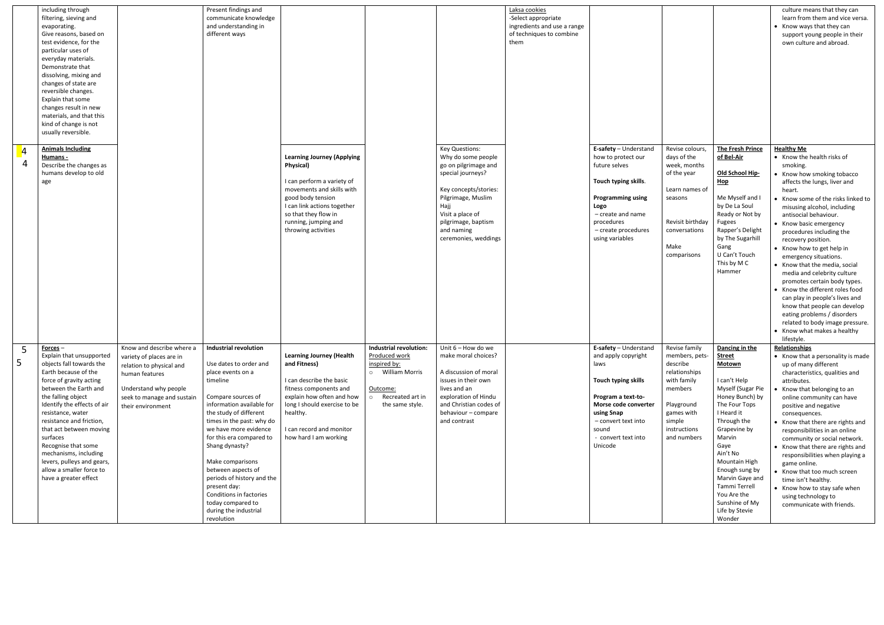|   | including through<br>filtering, sieving and<br>evaporating.<br>Give reasons, based on<br>test evidence, for the<br>particular uses of<br>everyday materials.<br>Demonstrate that<br>dissolving, mixing and<br>changes of state are<br>reversible changes.<br>Explain that some<br>changes result in new<br>materials, and that this<br>kind of change is not<br>usually reversible.                                            |                                                                                                                                                                                 | Present findings and<br>communicate knowledge<br>and understanding in<br>different ways                                                                                                                                                                                                                                                                                                                                                                 |                                                                                                                                                                                                                                             |                                                                                                                                  |                                                                                                                                                                                                                                  | Laksa cookies<br>-Select appropriate<br>ingredients and use a range<br>of techniques to combine<br>them |                                                                                                                                                                                                           |                                                                                                                                                             |                                                                                                                                                                                                                                                                                                                                          | culture means that they can<br>learn from them and vice versa.<br>• Know ways that they can<br>support young people in their<br>own culture and abroad.                                                                                                                                                                                                                                                                                                                                                                                                                                                                                                                               |
|---|--------------------------------------------------------------------------------------------------------------------------------------------------------------------------------------------------------------------------------------------------------------------------------------------------------------------------------------------------------------------------------------------------------------------------------|---------------------------------------------------------------------------------------------------------------------------------------------------------------------------------|---------------------------------------------------------------------------------------------------------------------------------------------------------------------------------------------------------------------------------------------------------------------------------------------------------------------------------------------------------------------------------------------------------------------------------------------------------|---------------------------------------------------------------------------------------------------------------------------------------------------------------------------------------------------------------------------------------------|----------------------------------------------------------------------------------------------------------------------------------|----------------------------------------------------------------------------------------------------------------------------------------------------------------------------------------------------------------------------------|---------------------------------------------------------------------------------------------------------|-----------------------------------------------------------------------------------------------------------------------------------------------------------------------------------------------------------|-------------------------------------------------------------------------------------------------------------------------------------------------------------|------------------------------------------------------------------------------------------------------------------------------------------------------------------------------------------------------------------------------------------------------------------------------------------------------------------------------------------|---------------------------------------------------------------------------------------------------------------------------------------------------------------------------------------------------------------------------------------------------------------------------------------------------------------------------------------------------------------------------------------------------------------------------------------------------------------------------------------------------------------------------------------------------------------------------------------------------------------------------------------------------------------------------------------|
|   | <b>Animals Including</b><br>Humans -<br>Describe the changes as<br>humans develop to old<br>age                                                                                                                                                                                                                                                                                                                                |                                                                                                                                                                                 |                                                                                                                                                                                                                                                                                                                                                                                                                                                         | <b>Learning Journey (Applying</b><br><b>Physical)</b><br>I can perform a variety of<br>movements and skills with<br>good body tension<br>I can link actions together<br>so that they flow in<br>running, jumping and<br>throwing activities |                                                                                                                                  | <b>Key Questions:</b><br>Why do some people<br>go on pilgrimage and<br>special journeys?<br>Key concepts/stories:<br>Pilgrimage, Muslim<br>Hajj<br>Visit a place of<br>pilgrimage, baptism<br>and naming<br>ceremonies, weddings |                                                                                                         | E-safety - Understand<br>how to protect our<br>future selves<br>Touch typing skills.<br><b>Programming using</b><br>Logo<br>$-$ create and name<br>procedures<br>- create procedures<br>using variables   | Revise colours,<br>days of the<br>week, months<br>of the year<br>Learn names of<br>seasons<br>Revisit birthday<br>conversations<br>Make<br>comparisons      | <b>The Fresh Prince</b><br>of Bel-Air<br>Old School Hip-<br><b>Hop</b><br>Me Myself and I<br>by De La Soul<br>Ready or Not by<br><b>Fugees</b><br>Rapper's Delight<br>by The Sugarhill<br>Gang<br>U Can't Touch<br>This by M C<br>Hammer                                                                                                 | <b>Healthy Me</b><br>• Know the health risks of<br>smoking.<br>• Know how smoking tobacco<br>affects the lungs, liver and<br>heart.<br>Know some of the risks linked to<br>misusing alcohol, including<br>antisocial behaviour.<br>• Know basic emergency<br>procedures including the<br>recovery position.<br>• Know how to get help in<br>emergency situations.<br>• Know that the media, social<br>media and celebrity culture<br>promotes certain body types.<br>• Know the different roles food<br>can play in people's lives and<br>know that people can develop<br>eating problems / disorders<br>related to body image pressure.<br>• Know what makes a healthy<br>lifestyle. |
| 5 | $Forces –$<br>Explain that unsupported<br>objects fall towards the<br>Earth because of the<br>force of gravity acting<br>between the Earth and<br>the falling object<br>Identify the effects of air<br>resistance, water<br>resistance and friction,<br>that act between moving<br>surfaces<br>Recognise that some<br>mechanisms, including<br>levers, pulleys and gears,<br>allow a smaller force to<br>have a greater effect | Know and describe where a<br>variety of places are in<br>relation to physical and<br>human features<br>Understand why people<br>seek to manage and sustain<br>their environment | <b>Industrial revolution</b><br>Use dates to order and<br>place events on a<br>timeline<br>Compare sources of<br>information available for<br>the study of different<br>times in the past: why do<br>we have more evidence<br>for this era compared to<br>Shang dynasty?<br>Make comparisons<br>between aspects of<br>periods of history and the<br>present day:<br>Conditions in factories<br>today compared to<br>during the industrial<br>revolution | <b>Learning Journey (Health</b><br>and Fitness)<br>I can describe the basic<br>fitness components and<br>explain how often and how<br>long I should exercise to be<br>healthy.<br>I can record and monitor<br>how hard I am working         | Industrial revolution:<br>Produced work<br>inspired by:<br>o William Morris<br>Outcome:<br>o Recreated art in<br>the same style. | Unit 6 - How do we<br>make moral choices?<br>A discussion of moral<br>issues in their own<br>lives and an<br>exploration of Hindu<br>and Christian codes of<br>behaviour - compare<br>and contrast                               |                                                                                                         | E-safety - Understand<br>and apply copyright<br>laws<br>Touch typing skills<br>Program a text-to-<br>Morse code converter<br>using Snap<br>- convert text into<br>sound<br>- convert text into<br>Unicode | Revise family<br>members, pets-<br>describe<br>relationships<br>with family<br>members<br>Playground<br>games with<br>simple<br>instructions<br>and numbers | Dancing in the<br><b>Street</b><br><b>Motown</b><br>I can't Help<br>Myself (Sugar Pie<br>Honey Bunch) by<br>The Four Tops<br>I Heard it<br>Through the<br>Grapevine by<br>Marvin<br>Gaye<br>Ain't No<br>Mountain High<br>Enough sung by<br>Marvin Gaye and<br>Tammi Terrell<br>You Are the<br>Sunshine of My<br>Life by Stevie<br>Wonder | Relationships<br>• Know that a personality is made<br>up of many different<br>characteristics, qualities and<br>attributes.<br>Know that belonging to an<br>online community can have<br>positive and negative<br>consequences.<br>• Know that there are rights and<br>responsibilities in an online<br>community or social network.<br>• Know that there are rights and<br>responsibilities when playing a<br>game online.<br>• Know that too much screen<br>time isn't healthy.<br>• Know how to stay safe when<br>using technology to<br>communicate with friends.                                                                                                                 |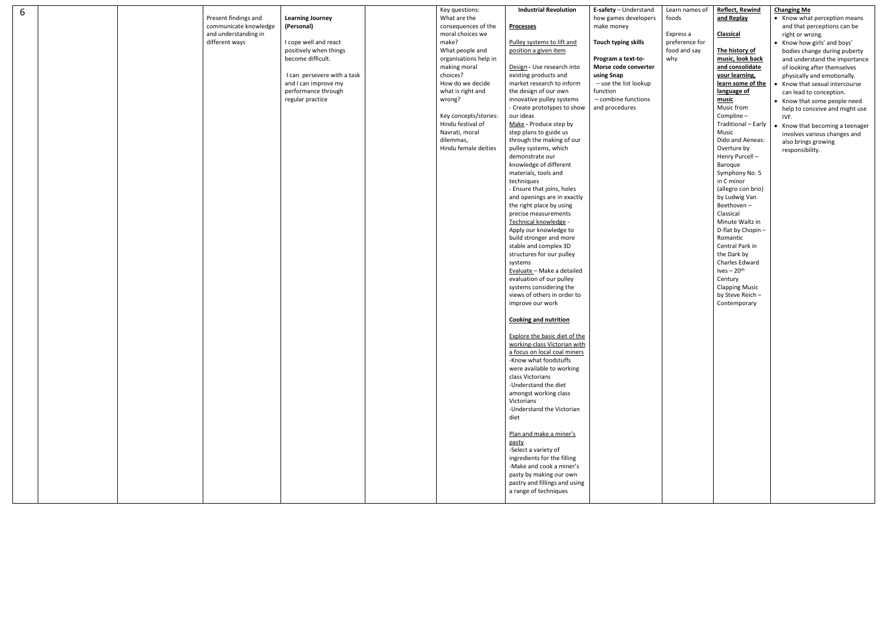| 6 |  | Present findings and                   | <b>Learning Journey</b>                     | Key questions:<br>What are the        | <b>Industrial Revolution</b>                             | E-safety - Understand<br>how games developers |
|---|--|----------------------------------------|---------------------------------------------|---------------------------------------|----------------------------------------------------------|-----------------------------------------------|
|   |  | communicate knowledge                  | (Personal)                                  | consequences of the                   | <b>Processes</b>                                         | make money                                    |
|   |  | and understanding in<br>different ways | I cope well and react                       | moral choices we<br>make?             | Pulley systems to lift and                               | Touch typing skills                           |
|   |  |                                        | positively when things                      | What people and                       | position a given item                                    |                                               |
|   |  |                                        | become difficult.                           | organisations help in<br>making moral | Design - Use research into                               | Program a text-to-<br>Morse code converter    |
|   |  |                                        | I can persevere with a task                 | choices?                              | existing products and                                    | using Snap                                    |
|   |  |                                        | and I can improve my<br>performance through | How do we decide<br>what is right and | market research to inform<br>the design of our own       | - use the list lookup<br>function             |
|   |  |                                        | regular practice                            | wrong?                                | innovative pulley systems<br>- Create prototypes to show | - combine functions<br>and procedures         |
|   |  |                                        |                                             | Key concepts/stories:                 | our ideas                                                |                                               |
|   |  |                                        |                                             | Hindu festival of<br>Navrati, moral   | Make - Produce step by<br>step plans to guide us         |                                               |
|   |  |                                        |                                             | dilemmas,                             | through the making of our                                |                                               |
|   |  |                                        |                                             | Hindu female deities                  | pulley systems, which                                    |                                               |
|   |  |                                        |                                             |                                       | demonstrate our<br>knowledge of different                |                                               |
|   |  |                                        |                                             |                                       | materials, tools and                                     |                                               |
|   |  |                                        |                                             |                                       | techniques<br>- Ensure that joins, holes                 |                                               |
|   |  |                                        |                                             |                                       | and openings are in exactly                              |                                               |
|   |  |                                        |                                             |                                       | the right place by using<br>precise measurements         |                                               |
|   |  |                                        |                                             |                                       | Technical knowledge -                                    |                                               |
|   |  |                                        |                                             |                                       | Apply our knowledge to                                   |                                               |
|   |  |                                        |                                             |                                       | build stronger and more<br>stable and complex 3D         |                                               |
|   |  |                                        |                                             |                                       | structures for our pulley                                |                                               |
|   |  |                                        |                                             |                                       | systems<br>Evaluate - Make a detailed                    |                                               |
|   |  |                                        |                                             |                                       | evaluation of our pulley                                 |                                               |
|   |  |                                        |                                             |                                       | systems considering the                                  |                                               |
|   |  |                                        |                                             |                                       | views of others in order to<br>improve our work          |                                               |
|   |  |                                        |                                             |                                       | <b>Cooking and nutrition</b>                             |                                               |
|   |  |                                        |                                             |                                       | <b>Explore the basic diet of the</b>                     |                                               |
|   |  |                                        |                                             |                                       | working-class Victorian with                             |                                               |
|   |  |                                        |                                             |                                       | a focus on local coal miners                             |                                               |
|   |  |                                        |                                             |                                       | -Know what foodstuffs<br>were available to working       |                                               |
|   |  |                                        |                                             |                                       | class Victorians                                         |                                               |
|   |  |                                        |                                             |                                       | -Understand the diet<br>amongst working class            |                                               |
|   |  |                                        |                                             |                                       | Victorians                                               |                                               |
|   |  |                                        |                                             |                                       | -Understand the Victorian<br>diet                        |                                               |
|   |  |                                        |                                             |                                       |                                                          |                                               |
|   |  |                                        |                                             |                                       | Plan and make a miner's<br>pasty                         |                                               |
|   |  |                                        |                                             |                                       | -Select a variety of                                     |                                               |
|   |  |                                        |                                             |                                       | ingredients for the filling<br>-Make and cook a miner's  |                                               |
|   |  |                                        |                                             |                                       | pasty by making our own                                  |                                               |
|   |  |                                        |                                             |                                       | pastry and fillings and using                            |                                               |
|   |  |                                        |                                             |                                       | a range of techniques                                    |                                               |

| Learn names of                                              | <b>Reflect, Rewind</b>                                                                                                                                                                                                                                                                                                    | <b>Changing Me</b>                                                                                                                                                                                                                                                                                                                                                                                                                                                                                               |
|-------------------------------------------------------------|---------------------------------------------------------------------------------------------------------------------------------------------------------------------------------------------------------------------------------------------------------------------------------------------------------------------------|------------------------------------------------------------------------------------------------------------------------------------------------------------------------------------------------------------------------------------------------------------------------------------------------------------------------------------------------------------------------------------------------------------------------------------------------------------------------------------------------------------------|
|                                                             |                                                                                                                                                                                                                                                                                                                           |                                                                                                                                                                                                                                                                                                                                                                                                                                                                                                                  |
| foods<br>Express a<br>preference for<br>food and say<br>why | and Replay<br><b>Classical</b><br>The history of<br>music, look back<br>and consolidate<br>your learning,<br>learn some of the<br>language of<br>music<br>Music from<br>Compline-<br>Traditional - Early<br>Music<br>Dido and Aeneas:<br>Overture by<br>Henry Purcell -<br><b>Baroque</b><br>Symphony No. 5<br>in C minor | Know what perception means<br>and that perceptions can be<br>right or wrong.<br>Know how girls' and boys'<br>bodies change during puberty<br>and understand the importance<br>of looking after themselves<br>physically and emotionally.<br>Know that sexual intercourse<br>$\bullet$<br>can lead to conception.<br>Know that some people need<br>help to conceive and might use<br>IVF.<br>Know that becoming a teenager<br>$\bullet$<br>involves various changes and<br>also brings growing<br>responsibility. |
|                                                             | (allegro con brio)<br>by Ludwig Van<br>Beethoven-<br>Classical<br>Minute Waltz in<br>D-flat by Chopin -<br>Romantic<br>Central Park in<br>the Dark by<br>Charles Edward<br>$Ives - 20th$<br>Century<br><b>Clapping Music</b><br>by Steve Reich-<br>Contemporary                                                           |                                                                                                                                                                                                                                                                                                                                                                                                                                                                                                                  |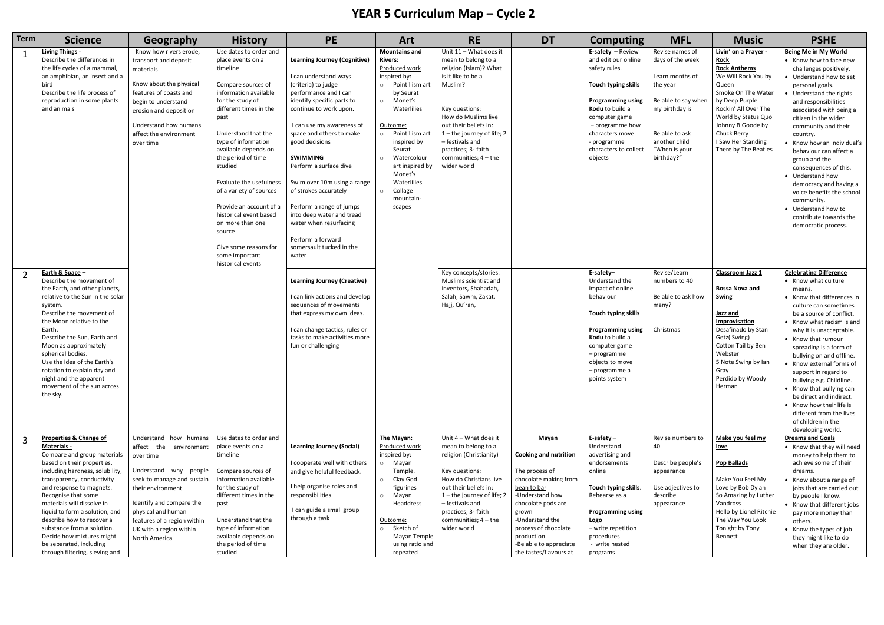## **YEAR 5 Curriculum Map – Cycle 2**

| <b>Term</b> | <b>Science</b>                                                                                                                                                                                                                                                                                                                                                                                                                                     | Geography                                                                                                                                                                                                                                                             | <b>History</b>                                                                                                                                                                                                                                                                                                                                                                                                                                                               | <b>PE</b>                                                                                                                                                                                                                                                                                                                                                                                                                                                                                         | Art                                                                                                                                                                                                                                                                                                                 | <b>RE</b>                                                                                                                                                                                                                                                                                 | <b>DT</b>                                                                                                                                                                                                                                                      | <b>Computing</b>                                                                                                                                                                                                                          | <b>MFL</b>                                                                                                                                                                    | <b>Music</b>                                                                                                                                                                                                                                                        | <b>PSHE</b>                                                                                                                                                                                                                                                                                                                                                                                                                                                                                                                     |
|-------------|----------------------------------------------------------------------------------------------------------------------------------------------------------------------------------------------------------------------------------------------------------------------------------------------------------------------------------------------------------------------------------------------------------------------------------------------------|-----------------------------------------------------------------------------------------------------------------------------------------------------------------------------------------------------------------------------------------------------------------------|------------------------------------------------------------------------------------------------------------------------------------------------------------------------------------------------------------------------------------------------------------------------------------------------------------------------------------------------------------------------------------------------------------------------------------------------------------------------------|---------------------------------------------------------------------------------------------------------------------------------------------------------------------------------------------------------------------------------------------------------------------------------------------------------------------------------------------------------------------------------------------------------------------------------------------------------------------------------------------------|---------------------------------------------------------------------------------------------------------------------------------------------------------------------------------------------------------------------------------------------------------------------------------------------------------------------|-------------------------------------------------------------------------------------------------------------------------------------------------------------------------------------------------------------------------------------------------------------------------------------------|----------------------------------------------------------------------------------------------------------------------------------------------------------------------------------------------------------------------------------------------------------------|-------------------------------------------------------------------------------------------------------------------------------------------------------------------------------------------------------------------------------------------|-------------------------------------------------------------------------------------------------------------------------------------------------------------------------------|---------------------------------------------------------------------------------------------------------------------------------------------------------------------------------------------------------------------------------------------------------------------|---------------------------------------------------------------------------------------------------------------------------------------------------------------------------------------------------------------------------------------------------------------------------------------------------------------------------------------------------------------------------------------------------------------------------------------------------------------------------------------------------------------------------------|
|             | <b>Living Things -</b><br>Describe the differences in<br>the life cycles of a mammal<br>an amphibian, an insect and a<br>bird<br>Describe the life process of<br>reproduction in some plants<br>and animals                                                                                                                                                                                                                                        | Know how rivers erode,<br>transport and deposit<br>materials<br>Know about the physical<br>features of coasts and<br>begin to understand<br>erosion and deposition<br>Understand how humans<br>affect the environment<br>over time                                    | Use dates to order and<br>place events on a<br>timeline<br>Compare sources of<br>information available<br>for the study of<br>different times in the<br>past<br>Understand that the<br>type of information<br>available depends on<br>the period of time<br>studied<br>Evaluate the usefulness<br>of a variety of sources<br>Provide an account of a<br>historical event based<br>on more than one<br>source<br>Give some reasons for<br>some important<br>historical events | <b>Learning Journey (Cognitive)</b><br>I can understand ways<br>(criteria) to judge<br>performance and I can<br>identify specific parts to<br>continue to work upon.<br>I can use my awareness of<br>space and others to make<br>good decisions<br><b>SWIMMING</b><br>Perform a surface dive<br>Swim over 10m using a range<br>of strokes accurately<br>Perform a range of jumps<br>into deep water and tread<br>water when resurfacing<br>Perform a forward<br>somersault tucked in the<br>water | <b>Mountains and</b><br><b>Rivers:</b><br>Produced work<br>inspired by:<br>o Pointillism art<br>by Seurat<br>o Monet's<br>Waterlilies<br>Outcome:<br>o Pointillism art<br>inspired by<br>Seurat<br>Watercolour<br>$\circ$<br>art inspired by<br>Monet's<br>Waterlilies<br>Collage<br>$\circ$<br>mountain-<br>scapes | Unit 11 - What does it<br>mean to belong to a<br>religion (Islam)? What<br>is it like to be a<br>Muslim?<br>Key questions:<br>How do Muslims live<br>out their beliefs in:<br>1-the journey of life; 2<br>- festivals and<br>practices; 3- faith<br>communities; $4 -$ the<br>wider world |                                                                                                                                                                                                                                                                | E-safety $-$ Review<br>and edit our online<br>safety rules.<br>Touch typing skills<br><b>Programming using</b><br>Kodu to build a<br>computer game<br>- programme how<br>characters move<br>programme<br>characters to collect<br>objects | Revise names of<br>days of the week<br>Learn months of<br>the year<br>Be able to say when<br>my birthday is<br>Be able to ask<br>another child<br>"When is your<br>birthday?" | Livin' on a Prayer -<br><b>Rock</b><br><b>Rock Anthems</b><br>We Will Rock You by<br>Queen<br>Smoke On The Water<br>by Deep Purple<br>Rockin' All Over The<br>World by Status Quo<br>Johnny B.Goode by<br>Chuck Berry<br>I Saw Her Standing<br>There by The Beatles | Being Me in My World<br>• Know how to face new<br>challenges positively.<br>Understand how to set<br>personal goals.<br>• Understand the rights<br>and responsibilities<br>associated with being a<br>citizen in the wider<br>community and their<br>country.<br>Know how an individual's<br>behaviour can affect a<br>group and the<br>consequences of this.<br>• Understand how<br>democracy and having a<br>voice benefits the school<br>community.<br>• Understand how to<br>contribute towards the<br>democratic process.  |
|             | Earth & Space -<br>Describe the movement of<br>the Earth, and other planets,<br>relative to the Sun in the solar<br>system.<br>Describe the movement of<br>the Moon relative to the<br>Earth.<br>Describe the Sun, Earth and<br>Moon as approximately<br>spherical bodies.<br>Use the idea of the Earth's<br>rotation to explain day and<br>night and the apparent<br>movement of the sun across<br>the sky.                                       |                                                                                                                                                                                                                                                                       |                                                                                                                                                                                                                                                                                                                                                                                                                                                                              | <b>Learning Journey (Creative)</b><br>I can link actions and develop<br>sequences of movements<br>that express my own ideas.<br>I can change tactics, rules or<br>tasks to make activities more<br>fun or challenging                                                                                                                                                                                                                                                                             |                                                                                                                                                                                                                                                                                                                     | Key concepts/stories:<br>Muslims scientist and<br>inventors, Shahadah,<br>Salah, Sawm, Zakat,<br>Hajj, Qu'ran,                                                                                                                                                                            |                                                                                                                                                                                                                                                                | E-safety-<br>Understand the<br>impact of online<br>behaviour<br>Touch typing skills<br><b>Programming using</b><br>Kodu to build a<br>computer game<br>– programme<br>objects to move<br>- programme a<br>points system                   | Revise/Learn<br>numbers to 40<br>Be able to ask how<br>many?<br>Christmas                                                                                                     | Classroom Jazz 1<br>Bossa Nova and<br><b>Swing</b><br>Jazz and<br>Improvisation<br>Desafinado by Stan<br>Getz(Swing)<br>Cotton Tail by Ben<br>Webster<br>5 Note Swing by Ian<br>Gray<br>Perdido by Woody<br>Herman                                                  | <b>Celebrating Difference</b><br>• Know what culture<br>means.<br>• Know that differences in<br>culture can sometimes<br>be a source of conflict.<br>• Know what racism is and<br>why it is unacceptable.<br>• Know that rumour<br>spreading is a form of<br>bullying on and offline.<br>• Know external forms of<br>support in regard to<br>bullying e.g. Childline.<br>• Know that bullying can<br>be direct and indirect.<br>• Know how their life is<br>different from the lives<br>of children in the<br>developing world. |
|             | Properties & Change of<br><b>Materials -</b><br>Compare and group materials<br>based on their properties,<br>including hardness, solubility,<br>transparency, conductivity<br>and response to magnets.<br>Recognise that some<br>materials will dissolve in<br>liquid to form a solution, and<br>describe how to recover a<br>substance from a solution.<br>Decide how mixtures might<br>be separated, including<br>through filtering, sieving and | Understand how humans<br>affect the environment<br>over time<br>Understand why people<br>seek to manage and sustain<br>their environment<br>Identify and compare the<br>physical and human<br>features of a region within<br>UK with a region within<br>North America | Use dates to order and<br>place events on a<br>timeline<br>Compare sources of<br>information available<br>for the study of<br>different times in the<br>past<br>Understand that the<br>type of information<br>available depends on<br>the period of time<br>studied                                                                                                                                                                                                          | <b>Learning Journey (Social)</b><br>I cooperate well with others<br>and give helpful feedback.<br>I help organise roles and<br>responsibilities<br>I can guide a small group<br>through a task                                                                                                                                                                                                                                                                                                    | The Mayan:<br>Produced work<br>inspired by:<br>Mayan<br>$\circ$<br>Temple.<br>Clay God<br>$\circ$<br>figurines<br>Mayan<br>$\circ$<br>Headdress<br>Outcome:<br>Sketch of<br>$\circ$<br>Mayan Temple<br>using ratio and<br>repeated                                                                                  | Unit 4 - What does it<br>mean to belong to a<br>religion (Christianity)<br>Key questions:<br>How do Christians live<br>out their beliefs in:<br>1 – the journey of life; 2<br>- festivals and<br>practices; 3- faith<br>communities; $4 -$ the<br>wider world                             | Mayan<br><b>Cooking and nutrition</b><br>The process of<br>chocolate making from<br>bean to bar<br>-Understand how<br>chocolate pods are<br>grown<br>-Understand the<br>process of chocolate<br>production<br>-Be able to appreciate<br>the tastes/flavours at | E-safety $-$<br>Understand<br>advertising and<br>endorsements<br>online<br>Touch typing skills.<br>Rehearse as a<br><b>Programming using</b><br>Logo<br>- write repetition<br>procedures<br>- write nested<br>programs                    | Revise numbers to<br>40<br>Describe people's<br>appearance<br>Use adjectives to<br>describe<br>appearance                                                                     | Make you feel my<br><u>love</u><br><b>Pop Ballads</b><br>Make You Feel My<br>Love by Bob Dylan<br>So Amazing by Luther<br>Vandross<br>Hello by Lionel Ritchie<br>The Way You Look<br>Tonight by Tony<br>Bennett                                                     | <b>Dreams and Goals</b><br>• Know that they will need<br>money to help them to<br>achieve some of their<br>dreams.<br>Know about a range of<br>jobs that are carried out<br>by people I know.<br>• Know that different jobs<br>pay more money than<br>others.<br>• Know the types of job<br>they might like to do<br>when they are older.                                                                                                                                                                                       |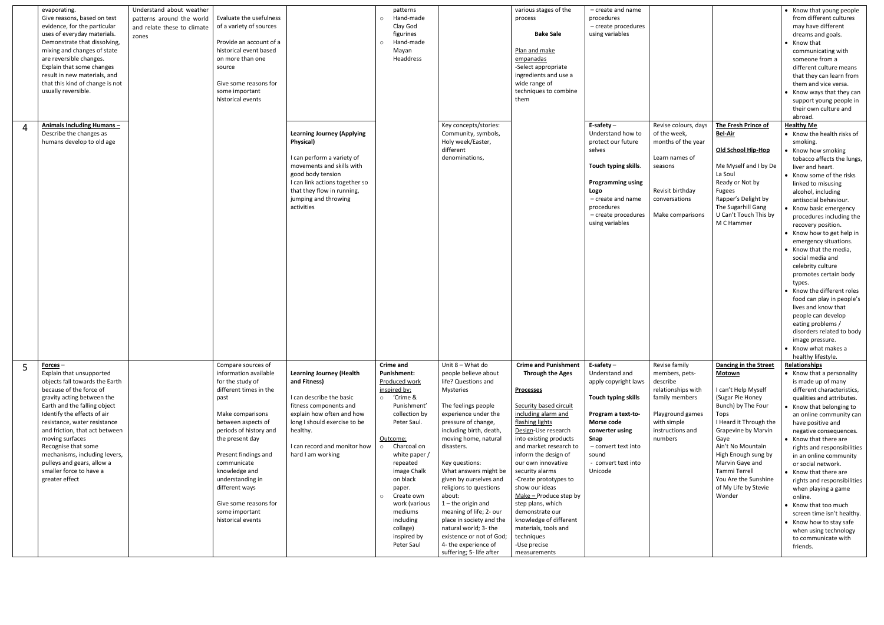|   | evaporating.<br>Give reasons, based on test<br>evidence, for the particular<br>uses of everyday materials.<br>Demonstrate that dissolving,<br>mixing and changes of state<br>are reversible changes.<br>Explain that some changes<br>result in new materials, and<br>that this kind of change is not<br>usually reversible.                                                                                              | Understand about weather<br>patterns around the world<br>and relate these to climate<br>zones | Evaluate the usefulness<br>of a variety of sources<br>Provide an account of a<br>historical event based<br>on more than one<br>source<br>Give some reasons for<br>some important<br>historical events                                                                                                                                                  |                                                                                                                                                                                                                                      | patterns<br>Hand-made<br>$\circ$<br>Clay God<br>figurines<br>Hand-made<br>$\circ$<br>Mayan<br>Headdress                                                                                                                                                                                                                                                          |                                                                                                                                                                                                                                                                                                                                                                                                                                                                                                                      | various stages of the<br>process<br><b>Bake Sale</b><br>Plan and make<br>empanadas<br>-Select appropriate<br>ingredients and use a<br>wide range of<br>techniques to combine<br>them                                                                                                                                                                                                                                                                                                                    | - create and name<br>procedures<br>- create procedures<br>using variables                                                                                                                                    |                                                                                                                                                       |                                                                                                                                                                                                                                                                                                                    | • Know that young people<br>from different cultures<br>may have different<br>dreams and goals.<br>• Know that<br>communicating with<br>someone from a<br>different culture means<br>that they can learn from<br>them and vice versa.<br>• Know ways that they can<br>support young people in<br>their own culture and                                                                                                                                                                                                                                                                                                                                                                                             |
|---|--------------------------------------------------------------------------------------------------------------------------------------------------------------------------------------------------------------------------------------------------------------------------------------------------------------------------------------------------------------------------------------------------------------------------|-----------------------------------------------------------------------------------------------|--------------------------------------------------------------------------------------------------------------------------------------------------------------------------------------------------------------------------------------------------------------------------------------------------------------------------------------------------------|--------------------------------------------------------------------------------------------------------------------------------------------------------------------------------------------------------------------------------------|------------------------------------------------------------------------------------------------------------------------------------------------------------------------------------------------------------------------------------------------------------------------------------------------------------------------------------------------------------------|----------------------------------------------------------------------------------------------------------------------------------------------------------------------------------------------------------------------------------------------------------------------------------------------------------------------------------------------------------------------------------------------------------------------------------------------------------------------------------------------------------------------|---------------------------------------------------------------------------------------------------------------------------------------------------------------------------------------------------------------------------------------------------------------------------------------------------------------------------------------------------------------------------------------------------------------------------------------------------------------------------------------------------------|--------------------------------------------------------------------------------------------------------------------------------------------------------------------------------------------------------------|-------------------------------------------------------------------------------------------------------------------------------------------------------|--------------------------------------------------------------------------------------------------------------------------------------------------------------------------------------------------------------------------------------------------------------------------------------------------------------------|-------------------------------------------------------------------------------------------------------------------------------------------------------------------------------------------------------------------------------------------------------------------------------------------------------------------------------------------------------------------------------------------------------------------------------------------------------------------------------------------------------------------------------------------------------------------------------------------------------------------------------------------------------------------------------------------------------------------|
| 4 | Animals Including Humans-<br>Describe the changes as<br>humans develop to old age                                                                                                                                                                                                                                                                                                                                        |                                                                                               |                                                                                                                                                                                                                                                                                                                                                        | <b>Learning Journey (Applying</b><br>Physical)<br>I can perform a variety of<br>movements and skills with<br>good body tension<br>I can link actions together so<br>that they flow in running,<br>jumping and throwing<br>activities |                                                                                                                                                                                                                                                                                                                                                                  | Key concepts/stories:<br>Community, symbols,<br>Holy week/Easter,<br>different<br>denominations,                                                                                                                                                                                                                                                                                                                                                                                                                     |                                                                                                                                                                                                                                                                                                                                                                                                                                                                                                         | E-safety $-$<br>Understand how to<br>protect our future<br>selves<br>Touch typing skills.<br><b>Programming using</b><br>Logo<br>$-$ create and name<br>procedures<br>- create procedures<br>using variables | Revise colours, days<br>of the week,<br>months of the year<br>Learn names of<br>seasons<br>Revisit birthday<br>conversations<br>Make comparisons      | The Fresh Prince of<br><b>Bel-Air</b><br>Old School Hip-Hop<br>Me Myself and I by De<br>La Soul<br>Ready or Not by<br><b>Fugees</b><br>Rapper's Delight by<br>The Sugarhill Gang<br>U Can't Touch This by<br>M C Hammer                                                                                            | abroad.<br><b>Healthy Me</b><br>• Know the health risks of<br>smoking.<br>• Know how smoking<br>tobacco affects the lungs,<br>liver and heart.<br>• Know some of the risks<br>linked to misusing<br>alcohol, including<br>antisocial behaviour.<br>• Know basic emergency<br>procedures including the<br>recovery position.<br>• Know how to get help in<br>emergency situations.<br>• Know that the media,<br>social media and<br>celebrity culture<br>promotes certain body<br>types.<br>• Know the different roles<br>food can play in people's<br>lives and know that<br>people can develop<br>eating problems /<br>disorders related to body<br>image pressure.<br>• Know what makes a<br>healthy lifestyle. |
|   | Forces $-$<br>Explain that unsupported<br>objects fall towards the Earth<br>because of the force of<br>gravity acting between the<br>Earth and the falling object<br>Identify the effects of air<br>resistance, water resistance<br>and friction, that act between<br>moving surfaces<br>Recognise that some<br>mechanisms, including levers,<br>pulleys and gears, allow a<br>smaller force to have a<br>greater effect |                                                                                               | Compare sources of<br>information available<br>for the study of<br>different times in the<br>past<br>Make comparisons<br>between aspects of<br>periods of history and<br>the present day<br>Present findings and<br>communicate<br>knowledge and<br>understanding in<br>different ways<br>Give some reasons for<br>some important<br>historical events | <b>Learning Journey (Health</b><br>and Fitness)<br>I can describe the basic<br>fitness components and<br>explain how often and how<br>long I should exercise to be<br>healthy.<br>I can record and monitor how<br>hard I am working  | <b>Crime and</b><br><b>Punishment:</b><br>Produced work<br>inspired by:<br>'Crime &<br>$\circ$<br>Punishment'<br>collection by<br>Peter Saul.<br>Outcome:<br>Charcoal on<br>$\circ$<br>white paper /<br>repeated<br>image Chalk<br>on black<br>paper.<br>Create own<br>$\circ$<br>work (various<br>mediums<br>including<br>collage)<br>inspired by<br>Peter Saul | Unit 8 - What do<br>people believe about<br>life? Questions and<br>Mysteries<br>The feelings people<br>experience under the<br>pressure of change,<br>including birth, death,<br>moving home, natural<br>disasters.<br>Key questions:<br>What answers might be<br>given by ourselves and<br>religions to questions<br>about:<br>$1$ – the origin and<br>meaning of life; 2- our<br>place in society and the<br>natural world; 3- the<br>existence or not of God;<br>4- the experience of<br>suffering; 5- life after | <b>Crime and Punishment</b><br><b>Through the Ages</b><br><b>Processes</b><br>Security based circuit<br>including alarm and<br>flashing lights<br>Design-Use research<br>into existing products<br>and market research to<br>inform the design of<br>our own innovative<br>security alarms<br>-Create prototypes to<br>show our ideas<br>Make - Produce step by<br>step plans, which<br>demonstrate our<br>knowledge of different<br>materials, tools and<br>techniques<br>-Use precise<br>measurements | E-safety $-$<br>Understand and<br>apply copyright laws<br>Touch typing skills<br>Program a text-to-<br>Morse code<br>converter using<br>Snap<br>- convert text into<br>sound<br>convert text into<br>Unicode | Revise family<br>members, pets-<br>describe<br>relationships with<br>family members<br>Playground games<br>with simple<br>instructions and<br>numbers | Dancing in the Street<br><b>Motown</b><br>I can't Help Myself<br>(Sugar Pie Honey<br>Bunch) by The Four<br>Tops<br>I Heard it Through the<br>Grapevine by Marvin<br>Gaye<br>Ain't No Mountain<br>High Enough sung by<br>Marvin Gaye and<br>Tammi Terrell<br>You Are the Sunshine<br>of My Life by Stevie<br>Wonder | <b>Relationships</b><br>• Know that a personality<br>is made up of many<br>different characteristics,<br>qualities and attributes.<br>• Know that belonging to<br>an online community can<br>have positive and<br>negative consequences.<br>• Know that there are<br>rights and responsibilities<br>in an online community<br>or social network.<br>• Know that there are<br>rights and responsibilities<br>when playing a game<br>online.<br>• Know that too much<br>screen time isn't healthy.<br>• Know how to stay safe<br>when using technology<br>to communicate with<br>friends.                                                                                                                           |